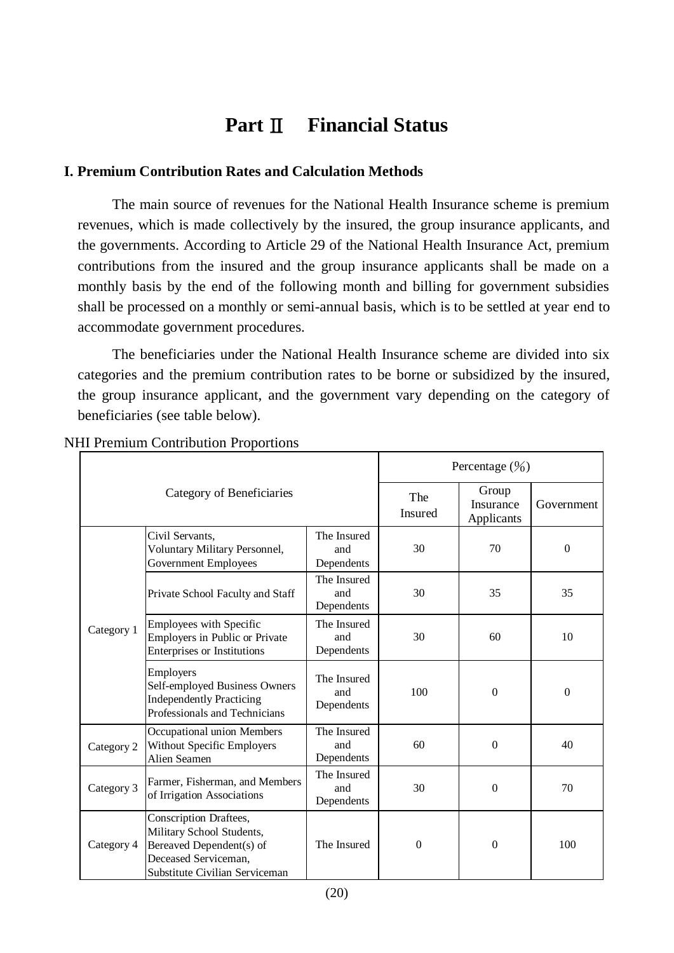# **Part**Ⅱ **Financial Status**

# **I. Premium Contribution Rates and Calculation Methods**

The main source of revenues for the National Health Insurance scheme is premium revenues, which is made collectively by the insured, the group insurance applicants, and the governments. According to Article 29 of the National Health Insurance Act, premium contributions from the insured and the group insurance applicants shall be made on a monthly basis by the end of the following month and billing for government subsidies shall be processed on a monthly or semi-annual basis, which is to be settled at year end to accommodate government procedures.

The beneficiaries under the National Health Insurance scheme are divided into six categories and the premium contribution rates to be borne or subsidized by the insured, the group insurance applicant, and the government vary depending on the category of beneficiaries (see table below).

| Category of Beneficiaries |                                                                                                                                           |                                  | Percentage $(\frac{9}{0})$ |                                  |                |
|---------------------------|-------------------------------------------------------------------------------------------------------------------------------------------|----------------------------------|----------------------------|----------------------------------|----------------|
|                           |                                                                                                                                           |                                  | The<br>Insured             | Group<br>Insurance<br>Applicants | Government     |
| Category 1                | Civil Servants,<br>Voluntary Military Personnel,<br><b>Government Employees</b>                                                           | The Insured<br>and<br>Dependents | 30                         | 70                               | $\theta$       |
|                           | Private School Faculty and Staff                                                                                                          | The Insured<br>and<br>Dependents | 30                         | 35                               | 35             |
|                           | Employees with Specific<br>Employers in Public or Private<br>Enterprises or Institutions                                                  | The Insured<br>and<br>Dependents | 30                         | 60                               | 10             |
|                           | Employers<br>Self-employed Business Owners<br><b>Independently Practicing</b><br>Professionals and Technicians                            | The Insured<br>and<br>Dependents | 100                        | $\mathbf{0}$                     | $\overline{0}$ |
| Category 2                | Occupational union Members<br><b>Without Specific Employers</b><br>Alien Seamen                                                           | The Insured<br>and<br>Dependents | 60                         | $\Omega$                         | 40             |
| Category 3                | Farmer, Fisherman, and Members<br>of Irrigation Associations                                                                              | The Insured<br>and<br>Dependents | 30                         | $\mathbf{0}$                     | 70             |
| Category 4                | Conscription Draftees,<br>Military School Students,<br>Bereaved Dependent(s) of<br>Deceased Serviceman,<br>Substitute Civilian Serviceman | The Insured                      | $\Omega$                   | $\Omega$                         | 100            |

NHI Premium Contribution Proportions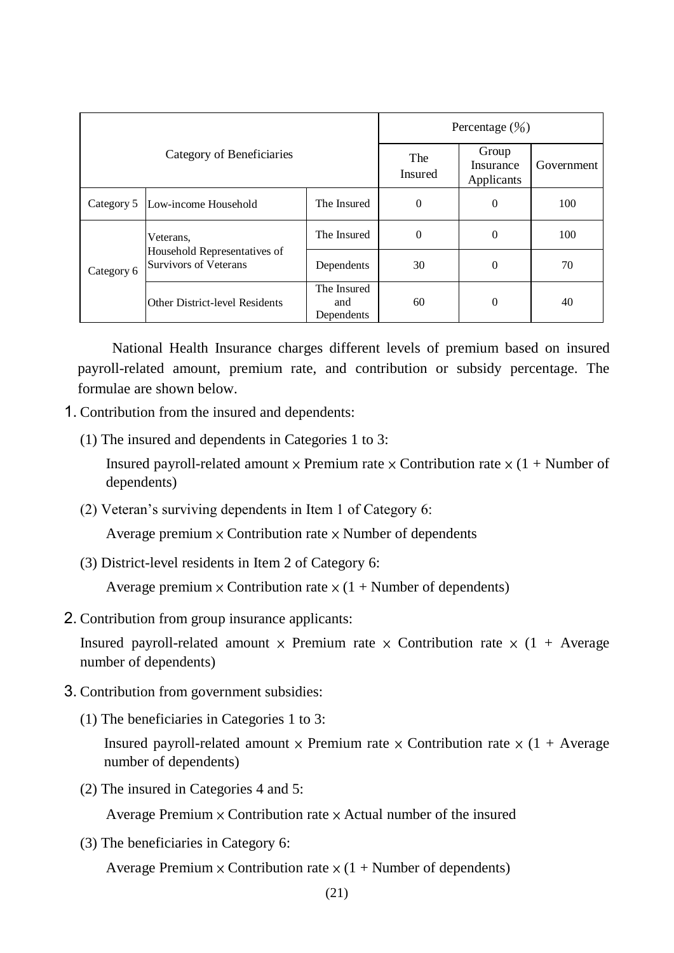| Category of Beneficiaries |                                                                           |                                  | Percentage $(\frac{9}{0})$ |                                  |            |  |
|---------------------------|---------------------------------------------------------------------------|----------------------------------|----------------------------|----------------------------------|------------|--|
|                           |                                                                           |                                  | The<br><b>Insured</b>      | Group<br>Insurance<br>Applicants | Government |  |
| Category 5                | Low-income Household                                                      | The Insured                      | $\theta$                   | $\theta$                         | 100        |  |
| Category 6                | Veterans,<br>Household Representatives of<br><b>Survivors of Veterans</b> | The Insured                      | $\theta$                   | 0                                | 100        |  |
|                           |                                                                           | Dependents                       | 30                         | $\theta$                         | 70         |  |
|                           | <b>Other District-level Residents</b>                                     | The Insured<br>and<br>Dependents | 60                         | $\theta$                         | 40         |  |

National Health Insurance charges different levels of premium based on insured payroll-related amount, premium rate, and contribution or subsidy percentage. The formulae are shown below.

- 1. Contribution from the insured and dependents:
	- (1) The insured and dependents in Categories 1 to 3:

Insured payroll-related amount  $\times$  Premium rate  $\times$  Contribution rate  $\times$  (1 + Number of dependents)

(2) Veteran's surviving dependents in Item 1 of Category 6:

Average premium  $\times$  Contribution rate  $\times$  Number of dependents

(3) District-level residents in Item 2 of Category 6:

Average premium  $\times$  Contribution rate  $\times$  (1 + Number of dependents)

2. Contribution from group insurance applicants:

Insured payroll-related amount  $\times$  Premium rate  $\times$  Contribution rate  $\times$  (1 + Average number of dependents)

- 3. Contribution from government subsidies:
	- (1) The beneficiaries in Categories 1 to 3:

Insured payroll-related amount  $\times$  Premium rate  $\times$  Contribution rate  $\times$  (1 + Average number of dependents)

(2) The insured in Categories 4 and 5:

Average Premium  $\times$  Contribution rate  $\times$  Actual number of the insured

(3) The beneficiaries in Category 6:

Average Premium  $\times$  Contribution rate  $\times$  (1 + Number of dependents)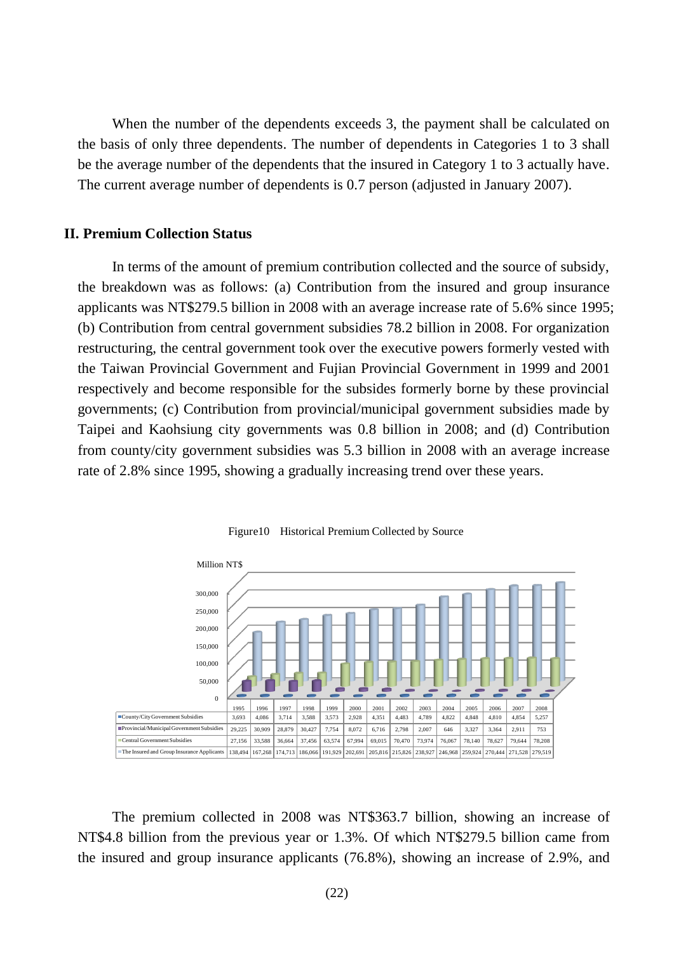When the number of the dependents exceeds 3, the payment shall be calculated on the basis of only three dependents. The number of dependents in Categories 1 to 3 shall be the average number of the dependents that the insured in Category 1 to 3 actually have. The current average number of dependents is 0.7 person (adjusted in January 2007).

# **II. Premium Collection Status**

In terms of the amount of premium contribution collected and the source of subsidy, the breakdown was as follows: (a) Contribution from the insured and group insurance applicants was NT\$279.5 billion in 2008 with an average increase rate of 5.6% since 1995; (b) Contribution from central government subsidies 78.2 billion in 2008. For organization restructuring, the central government took over the executive powers formerly vested with the Taiwan Provincial Government and Fujian Provincial Government in 1999 and 2001 respectively and become responsible for the subsides formerly borne by these provincial governments; (c) Contribution from provincial/municipal government subsidies made by Taipei and Kaohsiung city governments was 0.8 billion in 2008; and (d) Contribution from county/city government subsidies was 5.3 billion in 2008 with an average increase rate of 2.8% since 1995, showing a gradually increasing trend over these years.





The premium collected in 2008 was NT\$363.7 billion, showing an increase of NT\$4.8 billion from the previous year or 1.3%. Of which NT\$279.5 billion came from the insured and group insurance applicants (76.8%), showing an increase of 2.9%, and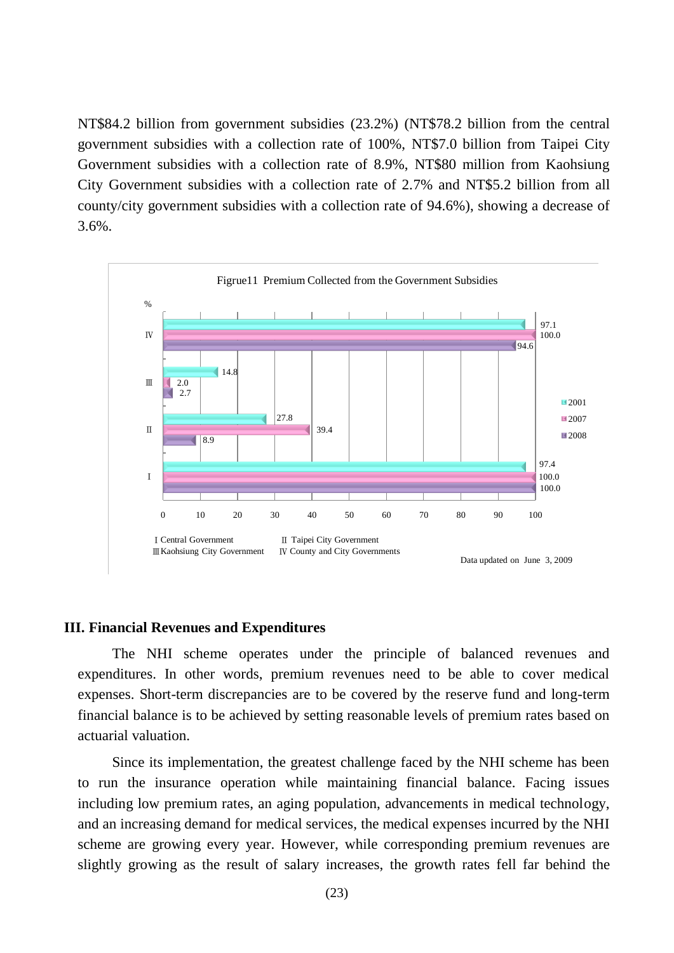NT\$84.2 billion from government subsidies (23.2%) (NT\$78.2 billion from the central government subsidies with a collection rate of 100%, NT\$7.0 billion from Taipei City Government subsidies with a collection rate of 8.9%, NT\$80 million from Kaohsiung City Government subsidies with a collection rate of 2.7% and NT\$5.2 billion from all county/city government subsidies with a collection rate of 94.6%), showing a decrease of 3.6%.



#### Figrue11 Premium Collected from the Government Subsidies

#### **III. Financial Revenues and Expenditures**

The NHI scheme operates under the principle of balanced revenues and expenditures. In other words, premium revenues need to be able to cover medical expenses. Short-term discrepancies are to be covered by the reserve fund and long-term financial balance is to be achieved by setting reasonable levels of premium rates based on actuarial valuation.

Since its implementation, the greatest challenge faced by the NHI scheme has been to run the insurance operation while maintaining financial balance. Facing issues including low premium rates, an aging population, advancements in medical technology, and an increasing demand for medical services, the medical expenses incurred by the NHI scheme are growing every year. However, while corresponding premium revenues are slightly growing as the result of salary increases, the growth rates fell far behind the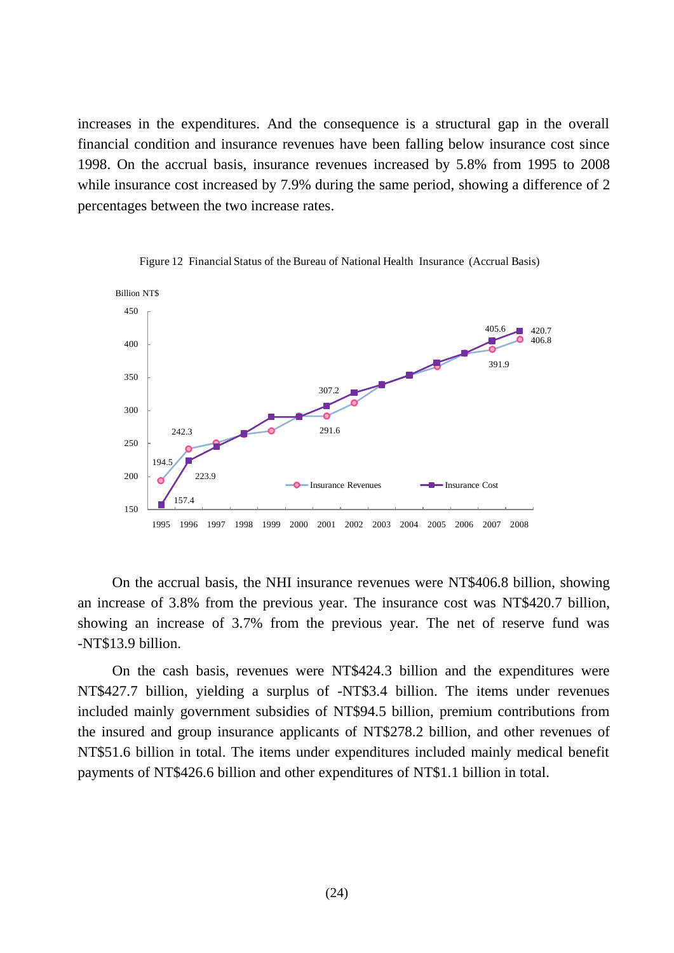increases in the expenditures. And the consequence is a structural gap in the overall financial condition and insurance revenues have been falling below insurance cost since 1998. On the accrual basis, insurance revenues increased by 5.8% from 1995 to 2008 while insurance cost increased by 7.9% during the same period, showing a difference of 2 percentages between the two increase rates.



Figure 12 Financial Status of the Bureau of National Health Insurance (Accrual Basis)

On the accrual basis, the NHI insurance revenues were NT\$406.8 billion, showing an increase of 3.8% from the previous year. The insurance cost was NT\$420.7 billion, showing an increase of 3.7% from the previous year. The net of reserve fund was -NT\$13.9 billion.

On the cash basis, revenues were NT\$424.3 billion and the expenditures were NT\$427.7 billion, yielding a surplus of -NT\$3.4 billion. The items under revenues included mainly government subsidies of NT\$94.5 billion, premium contributions from the insured and group insurance applicants of NT\$278.2 billion, and other revenues of NT\$51.6 billion in total. The items under expenditures included mainly medical benefit payments of NT\$426.6 billion and other expenditures of NT\$1.1 billion in total.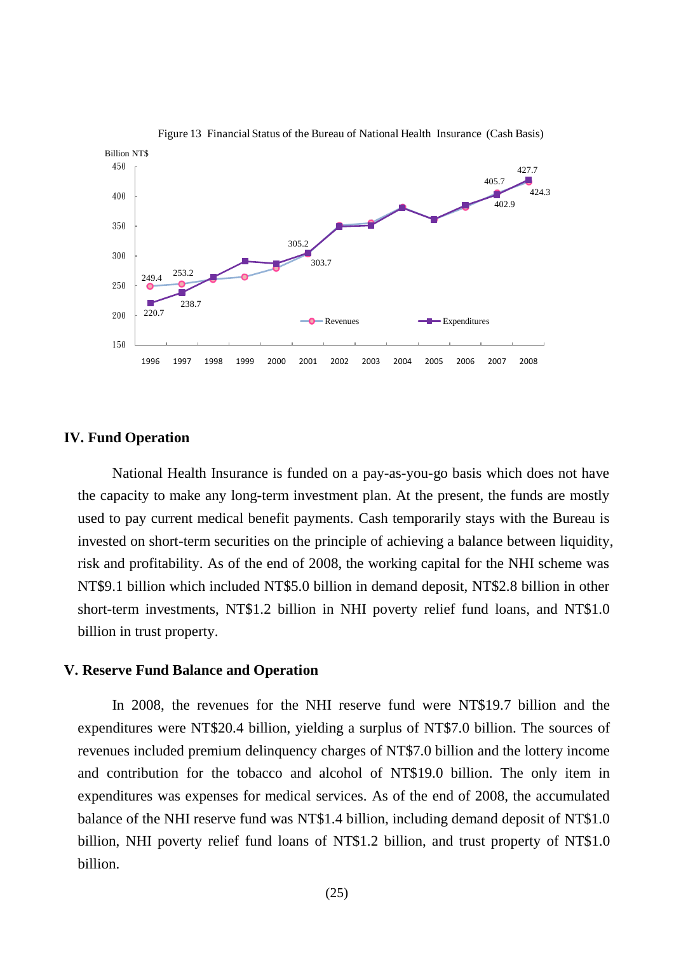

Figure 13 Financial Status of the Bureau of National Health Insurance (Cash Basis)

#### **IV. Fund Operation**

National Health Insurance is funded on a pay-as-you-go basis which does not have the capacity to make any long-term investment plan. At the present, the funds are mostly used to pay current medical benefit payments. Cash temporarily stays with the Bureau is invested on short-term securities on the principle of achieving a balance between liquidity, risk and profitability. As of the end of 2008, the working capital for the NHI scheme was NT\$9.1 billion which included NT\$5.0 billion in demand deposit, NT\$2.8 billion in other short-term investments, NT\$1.2 billion in NHI poverty relief fund loans, and NT\$1.0 billion in trust property.

### **V. Reserve Fund Balance and Operation**

In 2008, the revenues for the NHI reserve fund were NT\$19.7 billion and the expenditures were NT\$20.4 billion, yielding a surplus of NT\$7.0 billion. The sources of revenues included premium delinquency charges of NT\$7.0 billion and the lottery income and contribution for the tobacco and alcohol of NT\$19.0 billion. The only item in expenditures was expenses for medical services. As of the end of 2008, the accumulated balance of the NHI reserve fund was NT\$1.4 billion, including demand deposit of NT\$1.0 billion, NHI poverty relief fund loans of NT\$1.2 billion, and trust property of NT\$1.0 billion.